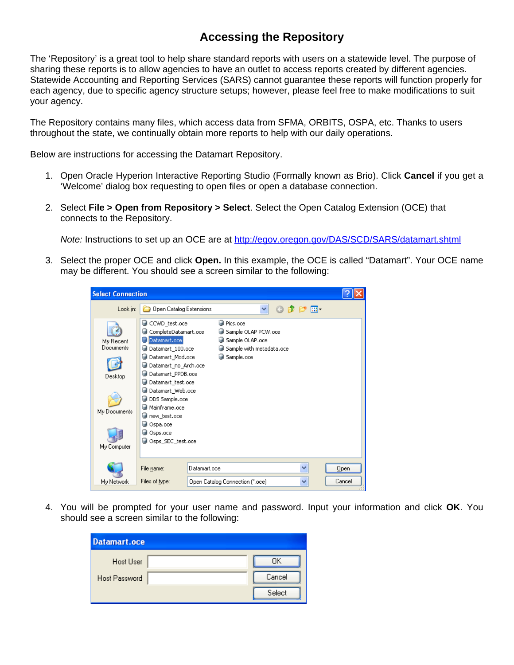## **Accessing the Repository**

The 'Repository' is a great tool to help share standard reports with users on a statewide level. The purpose of sharing these reports is to allow agencies to have an outlet to access reports created by different agencies. Statewide Accounting and Reporting Services (SARS) cannot guarantee these reports will function properly for each agency, due to specific agency structure setups; however, please feel free to make modifications to suit your agency.

The Repository contains many files, which access data from SFMA, ORBITS, OSPA, etc. Thanks to users throughout the state, we continually obtain more reports to help with our daily operations.

Below are instructions for accessing the Datamart Repository.

- 1. Open Oracle Hyperion Interactive Reporting Studio (Formally known as Brio). Click **Cancel** if you get a 'Welcome' dialog box requesting to open files or open a database connection.
- 2. Select **File > Open from Repository > Select**. Select the Open Catalog Extension (OCE) that connects to the Repository.

*Note:* Instructions to set up an OCE are at http://egov.oregon.gov/DAS/SCD/SARS/datamart.shtml

3. Select the proper OCE and click **Open.** In this example, the OCE is called "Datamart". Your OCE name may be different. You should see a screen similar to the following:

| <b>Select Connection</b>                                         |                                                                                                                                                                                                                                                                                     |              |                                                                                                                       |   |   |        |
|------------------------------------------------------------------|-------------------------------------------------------------------------------------------------------------------------------------------------------------------------------------------------------------------------------------------------------------------------------------|--------------|-----------------------------------------------------------------------------------------------------------------------|---|---|--------|
| Look in:                                                         | Open Catalog Extensions                                                                                                                                                                                                                                                             |              |                                                                                                                       | v |   |        |
| My Recent<br>Documents<br>Desktop<br>My Documents<br>My Computer | CCWD_test.oce<br>CompleteDatamart.oce<br>Datamart.oce<br>Datamart_100.oce<br>Datamart_Mod.oce<br>Datamart_no_Arch.oce<br>Datamart_PPDB.oce<br>Datamart test.oce<br>Datamart_Web.oce<br>DDS Sample.oce<br>Mainframe.oce<br>new_test.oce<br>Ospa.oce<br>Osps.oce<br>Osps SEC test.oce |              | <b>Pics.oce</b><br>Sample OLAP PCW.oce<br>Sample OLAP.oce<br>Sample with metadata.oce<br>Sample.oce<br><b>College</b> |   |   |        |
|                                                                  | File name:                                                                                                                                                                                                                                                                          | Datamart.oce |                                                                                                                       |   | v | Qpen   |
| My Network                                                       | Files of type:                                                                                                                                                                                                                                                                      |              | Open Catalog Connection [".oce]                                                                                       |   |   | Cancel |

4. You will be prompted for your user name and password. Input your information and click **OK**. You should see a screen similar to the following:

| Datamart.oce  |        |
|---------------|--------|
| Host User     | OΚ     |
| Host Password | Cancel |
|               | Select |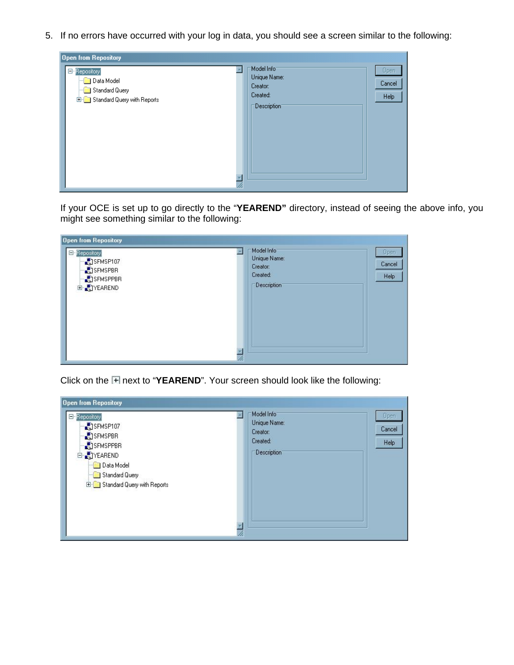5. If no errors have occurred with your log in data, you should see a screen similar to the following:



If your OCE is set up to go directly to the "**YEAREND"** directory, instead of seeing the above info, you might see something similar to the following:



Click on the **H** next to "YEAREND". Your screen should look like the following: